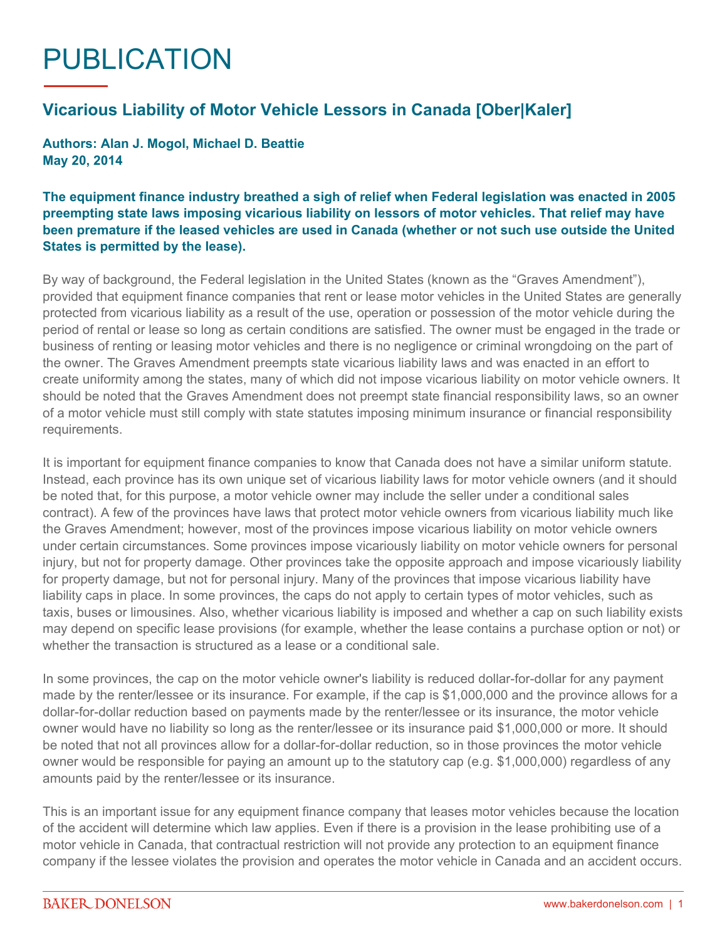## PUBLICATION

## **Vicarious Liability of Motor Vehicle Lessors in Canada [Ober|Kaler]**

**Authors: Alan J. Mogol, Michael D. Beattie May 20, 2014**

## **The equipment finance industry breathed a sigh of relief when Federal legislation was enacted in 2005 preempting state laws imposing vicarious liability on lessors of motor vehicles. That relief may have been premature if the leased vehicles are used in Canada (whether or not such use outside the United States is permitted by the lease).**

By way of background, the Federal legislation in the United States (known as the "Graves Amendment"), provided that equipment finance companies that rent or lease motor vehicles in the United States are generally protected from vicarious liability as a result of the use, operation or possession of the motor vehicle during the period of rental or lease so long as certain conditions are satisfied. The owner must be engaged in the trade or business of renting or leasing motor vehicles and there is no negligence or criminal wrongdoing on the part of the owner. The Graves Amendment preempts state vicarious liability laws and was enacted in an effort to create uniformity among the states, many of which did not impose vicarious liability on motor vehicle owners. It should be noted that the Graves Amendment does not preempt state financial responsibility laws, so an owner of a motor vehicle must still comply with state statutes imposing minimum insurance or financial responsibility requirements.

It is important for equipment finance companies to know that Canada does not have a similar uniform statute. Instead, each province has its own unique set of vicarious liability laws for motor vehicle owners (and it should be noted that, for this purpose, a motor vehicle owner may include the seller under a conditional sales contract). A few of the provinces have laws that protect motor vehicle owners from vicarious liability much like the Graves Amendment; however, most of the provinces impose vicarious liability on motor vehicle owners under certain circumstances. Some provinces impose vicariously liability on motor vehicle owners for personal injury, but not for property damage. Other provinces take the opposite approach and impose vicariously liability for property damage, but not for personal injury. Many of the provinces that impose vicarious liability have liability caps in place. In some provinces, the caps do not apply to certain types of motor vehicles, such as taxis, buses or limousines. Also, whether vicarious liability is imposed and whether a cap on such liability exists may depend on specific lease provisions (for example, whether the lease contains a purchase option or not) or whether the transaction is structured as a lease or a conditional sale.

In some provinces, the cap on the motor vehicle owner's liability is reduced dollar-for-dollar for any payment made by the renter/lessee or its insurance. For example, if the cap is \$1,000,000 and the province allows for a dollar-for-dollar reduction based on payments made by the renter/lessee or its insurance, the motor vehicle owner would have no liability so long as the renter/lessee or its insurance paid \$1,000,000 or more. It should be noted that not all provinces allow for a dollar-for-dollar reduction, so in those provinces the motor vehicle owner would be responsible for paying an amount up to the statutory cap (e.g. \$1,000,000) regardless of any amounts paid by the renter/lessee or its insurance.

This is an important issue for any equipment finance company that leases motor vehicles because the location of the accident will determine which law applies. Even if there is a provision in the lease prohibiting use of a motor vehicle in Canada, that contractual restriction will not provide any protection to an equipment finance company if the lessee violates the provision and operates the motor vehicle in Canada and an accident occurs.